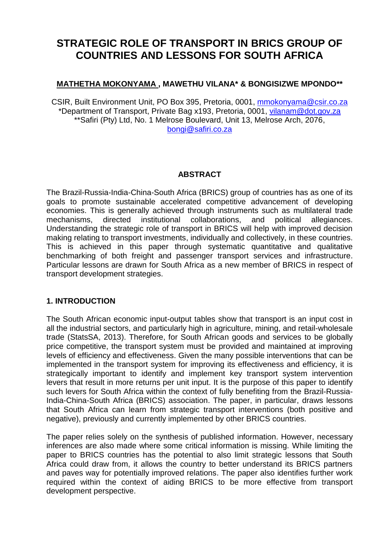# **STRATEGIC ROLE OF TRANSPORT IN BRICS GROUP OF COUNTRIES AND LESSONS FOR SOUTH AFRICA**

#### **MATHETHA MOKONYAMA , MAWETHU VILANA\* & BONGISIZWE MPONDO\*\***

CSIR, Built Environment Unit, PO Box 395, Pretoria, 0001, [mmokonyama@csir.co.za](mailto:mmokonyama@csir.co.za) \*Department of Transport, Private Bag x193, Pretoria, 0001, [vilanam@dot.gov.za](mailto:vilanam@dot.gov.za) \*\*Safiri (Pty) Ltd, No. 1 Melrose Boulevard, Unit 13, Melrose Arch, 2076, [bongi@safiri.co.za](mailto:bongi@safiri.co.za)

# **ABSTRACT**

The Brazil-Russia-India-China-South Africa (BRICS) group of countries has as one of its goals to promote sustainable accelerated competitive advancement of developing economies. This is generally achieved through instruments such as multilateral trade mechanisms, directed institutional collaborations, and political allegiances. mechanisms, directed institutional collaborations, and political allegiances. Understanding the strategic role of transport in BRICS will help with improved decision making relating to transport investments, individually and collectively, in these countries. This is achieved in this paper through systematic quantitative and qualitative benchmarking of both freight and passenger transport services and infrastructure. Particular lessons are drawn for South Africa as a new member of BRICS in respect of transport development strategies.

#### **1. INTRODUCTION**

The South African economic input-output tables show that transport is an input cost in all the industrial sectors, and particularly high in agriculture, mining, and retail-wholesale trade (StatsSA, 2013). Therefore, for South African goods and services to be globally price competitive, the transport system must be provided and maintained at improving levels of efficiency and effectiveness. Given the many possible interventions that can be implemented in the transport system for improving its effectiveness and efficiency, it is strategically important to identify and implement key transport system intervention levers that result in more returns per unit input. It is the purpose of this paper to identify such levers for South Africa within the context of fully benefiting from the Brazil-Russia-India-China-South Africa (BRICS) association. The paper, in particular, draws lessons that South Africa can learn from strategic transport interventions (both positive and negative), previously and currently implemented by other BRICS countries.

The paper relies solely on the synthesis of published information. However, necessary inferences are also made where some critical information is missing. While limiting the paper to BRICS countries has the potential to also limit strategic lessons that South Africa could draw from, it allows the country to better understand its BRICS partners and paves way for potentially improved relations. The paper also identifies further work required within the context of aiding BRICS to be more effective from transport development perspective.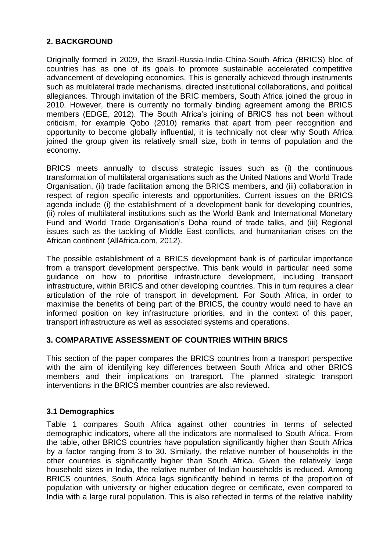# **2. BACKGROUND**

Originally formed in 2009, the Brazil-Russia-India-China-South Africa (BRICS) bloc of countries has as one of its goals to promote sustainable accelerated competitive advancement of developing economies. This is generally achieved through instruments such as multilateral trade mechanisms, directed institutional collaborations, and political allegiances. Through invitation of the BRIC members, South Africa joined the group in 2010. However, there is currently no formally binding agreement among the BRICS members (EDGE, 2012). The South Africa's joining of BRICS has not been without criticism, for example Qobo (2010) remarks that apart from peer recognition and opportunity to become globally influential, it is technically not clear why South Africa joined the group given its relatively small size, both in terms of population and the economy.

BRICS meets annually to discuss strategic issues such as (i) the continuous transformation of multilateral organisations such as the United Nations and World Trade Organisation, (ii) trade facilitation among the BRICS members, and (iii) collaboration in respect of region specific interests and opportunities. Current issues on the BRICS agenda include (i) the establishment of a development bank for developing countries, (ii) roles of multilateral institutions such as the World Bank and International Monetary Fund and World Trade Organisation's Doha round of trade talks, and (iii) Regional issues such as the tackling of Middle East conflicts, and humanitarian crises on the African continent (AllAfrica.com, 2012).

The possible establishment of a BRICS development bank is of particular importance from a transport development perspective. This bank would in particular need some guidance on how to prioritise infrastructure development, including transport infrastructure, within BRICS and other developing countries. This in turn requires a clear articulation of the role of transport in development. For South Africa, in order to maximise the benefits of being part of the BRICS, the country would need to have an informed position on key infrastructure priorities, and in the context of this paper, transport infrastructure as well as associated systems and operations.

# **3. COMPARATIVE ASSESSMENT OF COUNTRIES WITHIN BRICS**

This section of the paper compares the BRICS countries from a transport perspective with the aim of identifying key differences between South Africa and other BRICS members and their implications on transport. The planned strategic transport interventions in the BRICS member countries are also reviewed.

# **3.1 Demographics**

Table 1 compares South Africa against other countries in terms of selected demographic indicators, where all the indicators are normalised to South Africa. From the table, other BRICS countries have population significantly higher than South Africa by a factor ranging from 3 to 30. Similarly, the relative number of households in the other countries is significantly higher than South Africa. Given the relatively large household sizes in India, the relative number of Indian households is reduced. Among BRICS countries, South Africa lags significantly behind in terms of the proportion of population with university or higher education degree or certificate, even compared to India with a large rural population. This is also reflected in terms of the relative inability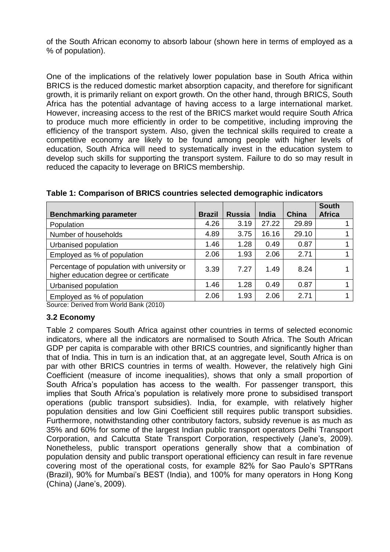of the South African economy to absorb labour (shown here in terms of employed as a % of population).

One of the implications of the relatively lower population base in South Africa within BRICS is the reduced domestic market absorption capacity, and therefore for significant growth, it is primarily reliant on export growth. On the other hand, through BRICS, South Africa has the potential advantage of having access to a large international market. However, increasing access to the rest of the BRICS market would require South Africa to produce much more efficiently in order to be competitive, including improving the efficiency of the transport system. Also, given the technical skills required to create a competitive economy are likely to be found among people with higher levels of education, South Africa will need to systematically invest in the education system to develop such skills for supporting the transport system. Failure to do so may result in reduced the capacity to leverage on BRICS membership.

| <b>Benchmarking parameter</b>                                                         | <b>Brazil</b> | <b>Russia</b> | <b>India</b> | <b>China</b> | <b>South</b><br><b>Africa</b> |
|---------------------------------------------------------------------------------------|---------------|---------------|--------------|--------------|-------------------------------|
| Population                                                                            | 4.26          | 3.19          | 27.22        | 29.89        |                               |
| Number of households                                                                  | 4.89          | 3.75          | 16.16        | 29.10        |                               |
| Urbanised population                                                                  | 1.46          | 1.28          | 0.49         | 0.87         |                               |
| Employed as % of population                                                           | 2.06          | 1.93          | 2.06         | 2.71         |                               |
| Percentage of population with university or<br>higher education degree or certificate | 3.39          | 7.27          | 1.49         | 8.24         |                               |
| Urbanised population                                                                  | 1.46          | 1.28          | 0.49         | 0.87         |                               |
| Employed as % of population                                                           | 2.06          | 1.93          | 2.06         | 2.71         |                               |

#### **Table 1: Comparison of BRICS countries selected demographic indicators**

Source: Derived from World Bank (2010)

# **3.2 Economy**

Table 2 compares South Africa against other countries in terms of selected economic indicators, where all the indicators are normalised to South Africa. The South African GDP per capita is comparable with other BRICS countries, and significantly higher than that of India. This in turn is an indication that, at an aggregate level, South Africa is on par with other BRICS countries in terms of wealth. However, the relatively high Gini Coefficient (measure of income inequalities), shows that only a small proportion of South Africa's population has access to the wealth. For passenger transport, this implies that South Africa's population is relatively more prone to subsidised transport operations (public transport subsidies). India, for example, with relatively higher population densities and low Gini Coefficient still requires public transport subsidies. Furthermore, notwithstanding other contributory factors, subsidy revenue is as much as 35% and 60% for some of the largest Indian public transport operators Delhi Transport Corporation, and Calcutta State Transport Corporation, respectively (Jane's, 2009). Nonetheless, public transport operations generally show that a combination of population density and public transport operational efficiency can result in fare revenue covering most of the operational costs, for example 82% for Sao Paulo's SPTRans (Brazil), 90% for Mumbai's BEST (India), and 100% for many operators in Hong Kong (China) (Jane's, 2009).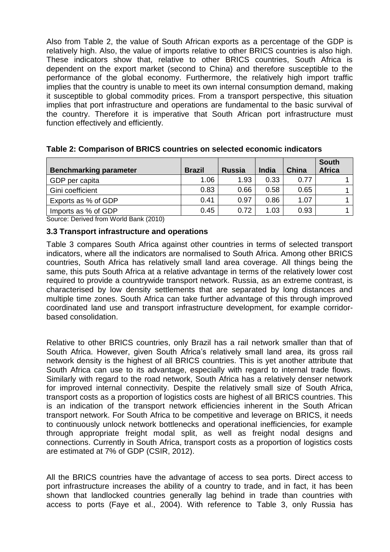Also from Table 2, the value of South African exports as a percentage of the GDP is relatively high. Also, the value of imports relative to other BRICS countries is also high. These indicators show that, relative to other BRICS countries, South Africa is dependent on the export market (second to China) and therefore susceptible to the performance of the global economy. Furthermore, the relatively high import traffic implies that the country is unable to meet its own internal consumption demand, making it susceptible to global commodity prices. From a transport perspective, this situation implies that port infrastructure and operations are fundamental to the basic survival of the country. Therefore it is imperative that South African port infrastructure must function effectively and efficiently.

| <b>Benchmarking parameter</b> | <b>Brazil</b> | <b>Russia</b> | <b>India</b> | <b>China</b> | <b>South</b><br><b>Africa</b> |
|-------------------------------|---------------|---------------|--------------|--------------|-------------------------------|
| GDP per capita                | 1.06          | 1.93          | 0.33         | 0.77         |                               |
| Gini coefficient              | 0.83          | 0.66          | 0.58         | 0.65         |                               |
| Exports as % of GDP           | 0.41          | 0.97          | 0.86         | 1.07         |                               |
| Imports as % of GDP           | 0.45          | 0.72          | 1.03         | 0.93         |                               |

#### **Table 2: Comparison of BRICS countries on selected economic indicators**

Source: Derived from World Bank (2010)

#### **3.3 Transport infrastructure and operations**

Table 3 compares South Africa against other countries in terms of selected transport indicators, where all the indicators are normalised to South Africa. Among other BRICS countries, South Africa has relatively small land area coverage. All things being the same, this puts South Africa at a relative advantage in terms of the relatively lower cost required to provide a countrywide transport network. Russia, as an extreme contrast, is characterised by low density settlements that are separated by long distances and multiple time zones. South Africa can take further advantage of this through improved coordinated land use and transport infrastructure development, for example corridorbased consolidation.

Relative to other BRICS countries, only Brazil has a rail network smaller than that of South Africa. However, given South Africa's relatively small land area, its gross rail network density is the highest of all BRICS countries. This is yet another attribute that South Africa can use to its advantage, especially with regard to internal trade flows. Similarly with regard to the road network, South Africa has a relatively denser network for improved internal connectivity. Despite the relatively small size of South Africa, transport costs as a proportion of logistics costs are highest of all BRICS countries. This is an indication of the transport network efficiencies inherent in the South African transport network. For South Africa to be competitive and leverage on BRICS, it needs to continuously unlock network bottlenecks and operational inefficiencies, for example through appropriate freight modal split, as well as freight nodal designs and connections. Currently in South Africa, transport costs as a proportion of logistics costs are estimated at 7% of GDP (CSIR, 2012).

All the BRICS countries have the advantage of access to sea ports. Direct access to port infrastructure increases the ability of a country to trade, and in fact, it has been shown that landlocked countries generally lag behind in trade than countries with access to ports (Faye et al., 2004). With reference to Table 3, only Russia has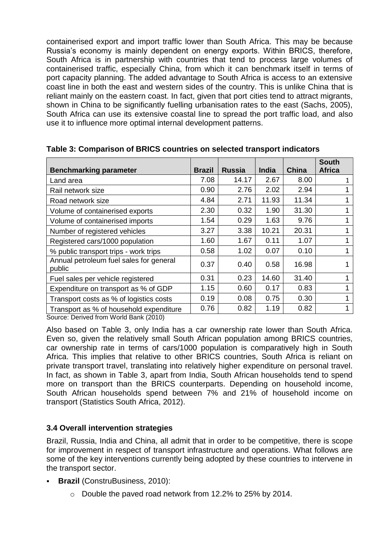containerised export and import traffic lower than South Africa. This may be because Russia's economy is mainly dependent on energy exports. Within BRICS, therefore, South Africa is in partnership with countries that tend to process large volumes of containerised traffic, especially China, from which it can benchmark itself in terms of port capacity planning. The added advantage to South Africa is access to an extensive coast line in both the east and western sides of the country. This is unlike China that is reliant mainly on the eastern coast. In fact, given that port cities tend to attract migrants, shown in China to be significantly fuelling urbanisation rates to the east (Sachs, 2005), South Africa can use its extensive coastal line to spread the port traffic load, and also use it to influence more optimal internal development patterns.

|                                                   |               |               |              |              | <b>South</b>  |
|---------------------------------------------------|---------------|---------------|--------------|--------------|---------------|
| <b>Benchmarking parameter</b>                     | <b>Brazil</b> | <b>Russia</b> | <b>India</b> | <b>China</b> | <b>Africa</b> |
| Land area                                         | 7.08          | 14.17         | 2.67         | 8.00         | 1             |
| Rail network size                                 | 0.90          | 2.76          | 2.02         | 2.94         |               |
| Road network size                                 | 4.84          | 2.71          | 11.93        | 11.34        |               |
| Volume of containerised exports                   | 2.30          | 0.32          | 1.90         | 31.30        |               |
| Volume of containerised imports                   | 1.54          | 0.29          | 1.63         | 9.76         |               |
| Number of registered vehicles                     | 3.27          | 3.38          | 10.21        | 20.31        |               |
| Registered cars/1000 population                   | 1.60          | 1.67          | 0.11         | 1.07         |               |
| % public transport trips - work trips             | 0.58          | 1.02          | 0.07         | 0.10         |               |
| Annual petroleum fuel sales for general<br>public | 0.37          | 0.40          | 0.58         | 16.98        |               |
| Fuel sales per vehicle registered                 | 0.31          | 0.23          | 14.60        | 31.40        |               |
| Expenditure on transport as % of GDP              | 1.15          | 0.60          | 0.17         | 0.83         |               |
| Transport costs as % of logistics costs           | 0.19          | 0.08          | 0.75         | 0.30         |               |
| Transport as % of household expenditure           | 0.76          | 0.82          | 1.19         | 0.82         |               |

**Table 3: Comparison of BRICS countries on selected transport indicators**

Source: Derived from World Bank (2010)

Also based on Table 3, only India has a car ownership rate lower than South Africa. Even so, given the relatively small South African population among BRICS countries, car ownership rate in terms of cars/1000 population is comparatively high in South Africa. This implies that relative to other BRICS countries, South Africa is reliant on private transport travel, translating into relatively higher expenditure on personal travel. In fact, as shown in Table 3, apart from India, South African households tend to spend more on transport than the BRICS counterparts. Depending on household income, South African households spend between 7% and 21% of household income on transport (Statistics South Africa, 2012).

# **3.4 Overall intervention strategies**

Brazil, Russia, India and China, all admit that in order to be competitive, there is scope for improvement in respect of transport infrastructure and operations. What follows are some of the key interventions currently being adopted by these countries to intervene in the transport sector.

- **Brazil** (ConstruBusiness, 2010):
	- o Double the paved road network from 12.2% to 25% by 2014.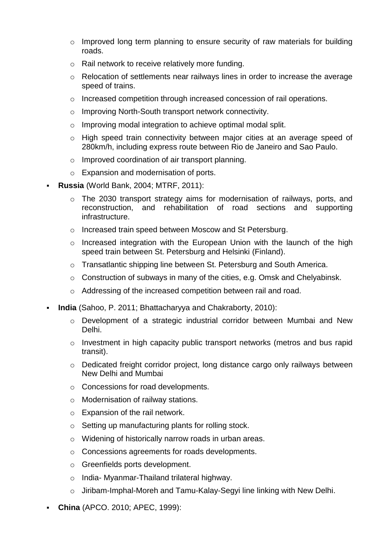- $\circ$  Improved long term planning to ensure security of raw materials for building roads.
- o Rail network to receive relatively more funding.
- $\circ$  Relocation of settlements near railways lines in order to increase the average speed of trains.
- o Increased competition through increased concession of rail operations.
- o Improving North-South transport network connectivity.
- o Improving modal integration to achieve optimal modal split.
- $\circ$  High speed train connectivity between major cities at an average speed of 280km/h, including express route between Rio de Janeiro and Sao Paulo.
- o Improved coordination of air transport planning.
- o Expansion and modernisation of ports.
- **Russia** (World Bank, 2004; MTRF, 2011):
	- o The 2030 transport strategy aims for modernisation of railways, ports, and reconstruction, and rehabilitation of road sections and supporting infrastructure.
	- o Increased train speed between Moscow and St Petersburg.
	- o Increased integration with the European Union with the launch of the high speed train between St. Petersburg and Helsinki (Finland).
	- o Transatlantic shipping line between St. Petersburg and South America.
	- $\circ$  Construction of subways in many of the cities, e.g. Omsk and Chelyabinsk.
	- o Addressing of the increased competition between rail and road.
- **India** (Sahoo, P. 2011; Bhattacharyya and Chakraborty, 2010):
	- o Development of a strategic industrial corridor between Mumbai and New Delhi.
	- o Investment in high capacity public transport networks (metros and bus rapid transit).
	- o Dedicated freight corridor project, long distance cargo only railways between New Delhi and Mumbai
	- o Concessions for road developments.
	- o Modernisation of railway stations.
	- o Expansion of the rail network.
	- o Setting up manufacturing plants for rolling stock.
	- o Widening of historically narrow roads in urban areas.
	- o Concessions agreements for roads developments.
	- o Greenfields ports development.
	- o India- Myanmar-Thailand trilateral highway.
	- o Jiribam-Imphal-Moreh and Tamu-Kalay-Segyi line linking with New Delhi.
- **China** (APCO. 2010; APEC, 1999):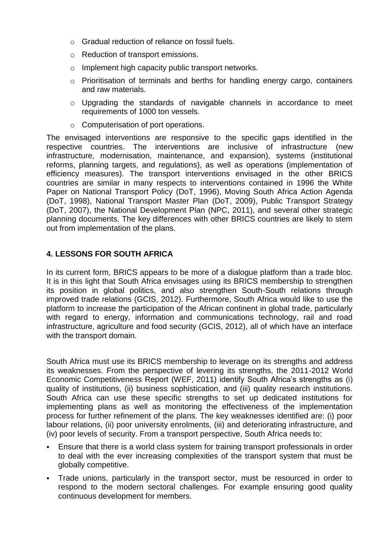- o Gradual reduction of reliance on fossil fuels.
- o Reduction of transport emissions.
- o Implement high capacity public transport networks.
- o Prioritisation of terminals and berths for handling energy cargo, containers and raw materials.
- o Upgrading the standards of navigable channels in accordance to meet requirements of 1000 ton vessels.
- o Computerisation of port operations.

The envisaged interventions are responsive to the specific gaps identified in the respective countries. The interventions are inclusive of infrastructure (new infrastructure, modernisation, maintenance, and expansion), systems (institutional reforms, planning targets, and regulations), as well as operations (implementation of efficiency measures). The transport interventions envisaged in the other BRICS countries are similar in many respects to interventions contained in 1996 the White Paper on National Transport Policy (DoT, 1996), Moving South Africa Action Agenda (DoT, 1998), National Transport Master Plan (DoT, 2009), Public Transport Strategy (DoT, 2007), the National Development Plan (NPC, 2011), and several other strategic planning documents. The key differences with other BRICS countries are likely to stem out from implementation of the plans.

# **4. LESSONS FOR SOUTH AFRICA**

In its current form, BRICS appears to be more of a dialogue platform than a trade bloc. It is in this light that South Africa envisages using its BRICS membership to strengthen its position in global politics, and also strengthen South-South relations through improved trade relations (GCIS, 2012). Furthermore, South Africa would like to use the platform to increase the participation of the African continent in global trade, particularly with regard to energy, information and communications technology, rail and road infrastructure, agriculture and food security (GCIS, 2012), all of which have an interface with the transport domain.

South Africa must use its BRICS membership to leverage on its strengths and address its weaknesses. From the perspective of levering its strengths, the 2011-2012 World Economic Competitiveness Report (WEF, 2011) identify South Africa's strengths as (i) quality of institutions, (ii) business sophistication, and (iii) quality research institutions. South Africa can use these specific strengths to set up dedicated institutions for implementing plans as well as monitoring the effectiveness of the implementation process for further refinement of the plans. The key weaknesses identified are: (i) poor labour relations, (ii) poor university enrolments, (iii) and deteriorating infrastructure, and (iv) poor levels of security. From a transport perspective, South Africa needs to:

- Ensure that there is a world class system for training transport professionals in order to deal with the ever increasing complexities of the transport system that must be globally competitive.
- Trade unions, particularly in the transport sector, must be resourced in order to respond to the modern sectoral challenges. For example ensuring good quality continuous development for members.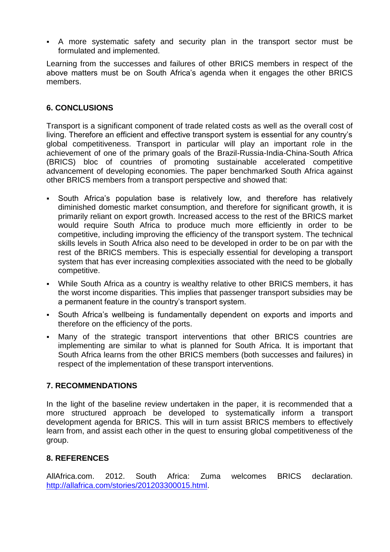A more systematic safety and security plan in the transport sector must be formulated and implemented.

Learning from the successes and failures of other BRICS members in respect of the above matters must be on South Africa's agenda when it engages the other BRICS members.

#### **6. CONCLUSIONS**

Transport is a significant component of trade related costs as well as the overall cost of living. Therefore an efficient and effective transport system is essential for any country's global competitiveness. Transport in particular will play an important role in the achievement of one of the primary goals of the Brazil-Russia-India-China-South Africa (BRICS) bloc of countries of promoting sustainable accelerated competitive advancement of developing economies. The paper benchmarked South Africa against other BRICS members from a transport perspective and showed that:

- South Africa's population base is relatively low, and therefore has relatively diminished domestic market consumption, and therefore for significant growth, it is primarily reliant on export growth. Increased access to the rest of the BRICS market would require South Africa to produce much more efficiently in order to be competitive, including improving the efficiency of the transport system. The technical skills levels in South Africa also need to be developed in order to be on par with the rest of the BRICS members. This is especially essential for developing a transport system that has ever increasing complexities associated with the need to be globally competitive.
- While South Africa as a country is wealthy relative to other BRICS members, it has the worst income disparities. This implies that passenger transport subsidies may be a permanent feature in the country's transport system.
- South Africa's wellbeing is fundamentally dependent on exports and imports and therefore on the efficiency of the ports.
- Many of the strategic transport interventions that other BRICS countries are implementing are similar to what is planned for South Africa. It is important that South Africa learns from the other BRICS members (both successes and failures) in respect of the implementation of these transport interventions.

#### **7. RECOMMENDATIONS**

In the light of the baseline review undertaken in the paper, it is recommended that a more structured approach be developed to systematically inform a transport development agenda for BRICS. This will in turn assist BRICS members to effectively learn from, and assist each other in the quest to ensuring global competitiveness of the group.

#### **8. REFERENCES**

AllAfrica.com. 2012. South Africa: Zuma welcomes BRICS declaration. [http://allafrica.com/stories/201203300015.html.](http://allafrica.com/stories/201203300015.html)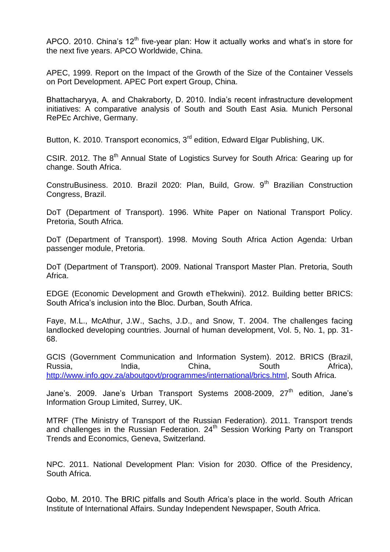APCO. 2010. China's  $12<sup>th</sup>$  five-year plan: How it actually works and what's in store for the next five years. APCO Worldwide, China.

APEC, 1999. Report on the Impact of the Growth of the Size of the Container Vessels on Port Development. APEC Port expert Group, China.

Bhattacharyya, A. and Chakraborty, D. 2010. India's recent infrastructure development initiatives: A comparative analysis of South and South East Asia. Munich Personal RePEc Archive, Germany.

Button, K. 2010. Transport economics, 3<sup>rd</sup> edition, Edward Elgar Publishing, UK.

CSIR. 2012. The 8<sup>th</sup> Annual State of Logistics Survey for South Africa: Gearing up for change. South Africa.

ConstruBusiness. 2010. Brazil 2020: Plan. Build. Grow.  $9<sup>th</sup>$  Brazilian Construction Congress, Brazil.

DoT (Department of Transport). 1996. White Paper on National Transport Policy. Pretoria, South Africa.

DoT (Department of Transport). 1998. Moving South Africa Action Agenda: Urban passenger module, Pretoria.

DoT (Department of Transport). 2009. National Transport Master Plan. Pretoria, South Africa.

EDGE (Economic Development and Growth eThekwini). 2012. Building better BRICS: South Africa's inclusion into the Bloc. Durban, South Africa.

Faye, M.L., McAthur, J.W., Sachs, J.D., and Snow, T. 2004. The challenges facing landlocked developing countries. Journal of human development, Vol. 5, No. 1, pp. 31- 68.

GCIS (Government Communication and Information System). 2012. BRICS (Brazil, Russia, India, China, South Africa), [http://www.info.gov.za/aboutgovt/programmes/international/brics.html,](http://www.info.gov.za/aboutgovt/programmes/international/brics.html) South Africa.

Jane's. 2009. Jane's Urban Transport Systems 2008-2009,  $27<sup>th</sup>$  edition, Jane's Information Group Limited, Surrey, UK.

MTRF (The Ministry of Transport of the Russian Federation). 2011. Transport trends and challenges in the Russian Federation. 24<sup>th</sup> Session Working Party on Transport Trends and Economics, Geneva, Switzerland.

NPC. 2011. National Development Plan: Vision for 2030. Office of the Presidency, South Africa.

Qobo, M. 2010. The BRIC pitfalls and South Africa's place in the world. South African Institute of International Affairs. Sunday Independent Newspaper, South Africa.